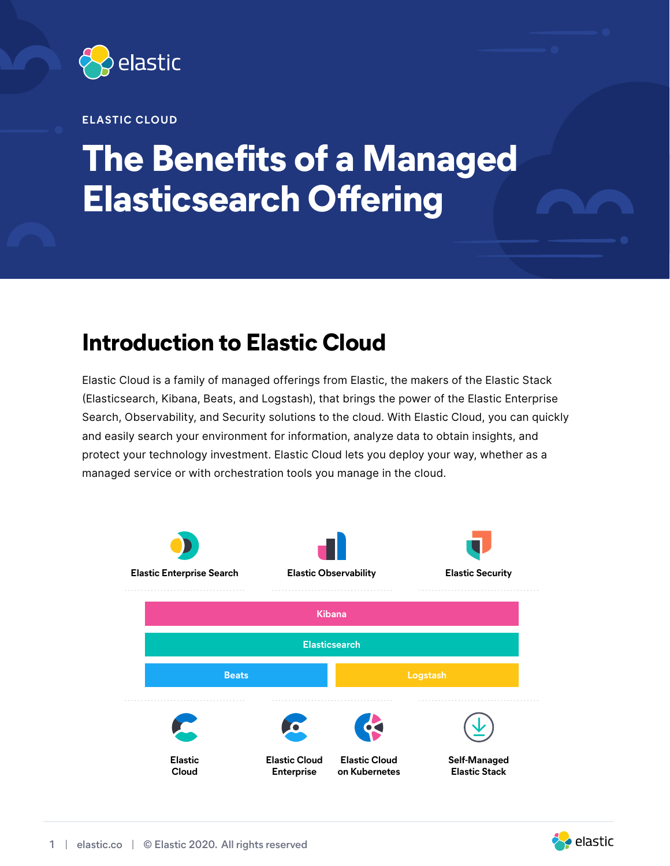

#### **ELASTIC CLOUD**

# **The Benefits of a Managed Elasticsearch Offering**

### **Introduction to Elastic Cloud**

Elastic Cloud is a family of managed offerings from Elastic, the makers of the Elastic Stack (Elasticsearch, Kibana, Beats, and Logstash), that brings the power of the Elastic Enterprise Search, Observability, and Security solutions to the cloud. With Elastic Cloud, you can quickly and easily search your environment for information, analyze data to obtain insights, and protect your technology investment. Elastic Cloud lets you deploy your way, whether as a managed service or with orchestration tools you manage in the cloud.



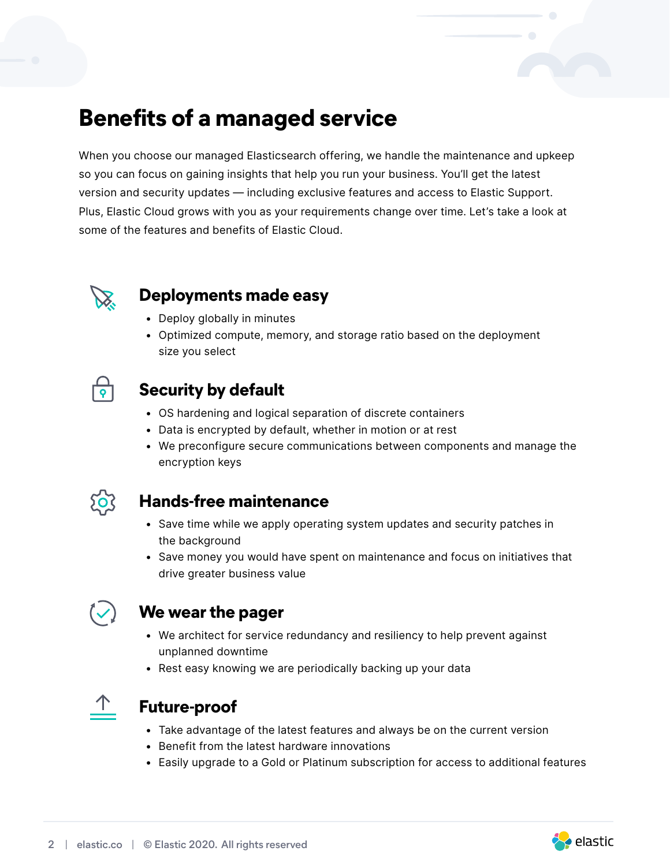### **Benefits of a managed service**

When you choose our managed Elasticsearch offering, we handle the maintenance and upkeep so you can focus on gaining insights that help you run your business. You'll get the latest version and security updates — including exclusive features and access to Elastic Support. Plus, Elastic Cloud grows with you as your requirements change over time. Let's take a look at some of the features and benefits of Elastic Cloud.



#### **Deployments made easy**

- Deploy globally in minutes
- Optimized compute, memory, and storage ratio based on the deployment size you select

### **Security by default**

- OS hardening and logical separation of discrete containers
- Data is encrypted by default, whether in motion or at rest
- We preconfigure secure communications between components and manage the encryption keys



#### **Hands-free maintenance**

- Save time while we apply operating system updates and security patches in the background
- Save money you would have spent on maintenance and focus on initiatives that drive greater business value



### **We wear the pager**

- We architect for service redundancy and resiliency to help prevent against unplanned downtime
- Rest easy knowing we are periodically backing up your data



#### **Future-proof**

- Take advantage of the latest features and always be on the current version
- Benefit from the latest hardware innovations
- Easily upgrade to a Gold or Platinum subscription for access to additional features

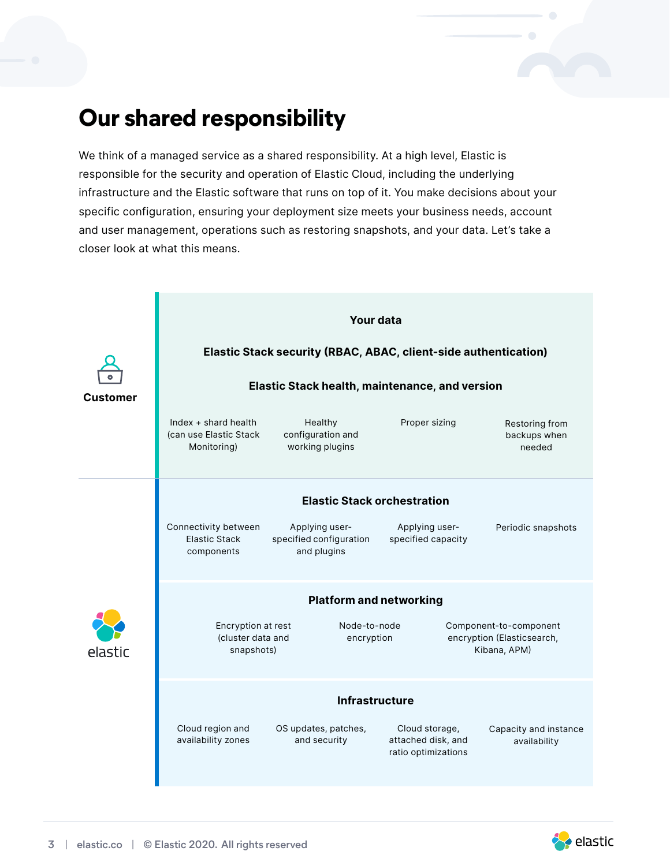### **Our shared responsibility**

We think of a managed service as a shared responsibility. At a high level, Elastic is responsible for the security and operation of Elastic Cloud, including the underlying infrastructure and the Elastic software that runs on top of it. You make decisions about your specific configuration, ensuring your deployment size meets your business needs, account and user management, operations such as restoring snapshots, and your data. Let's take a closer look at what this means.



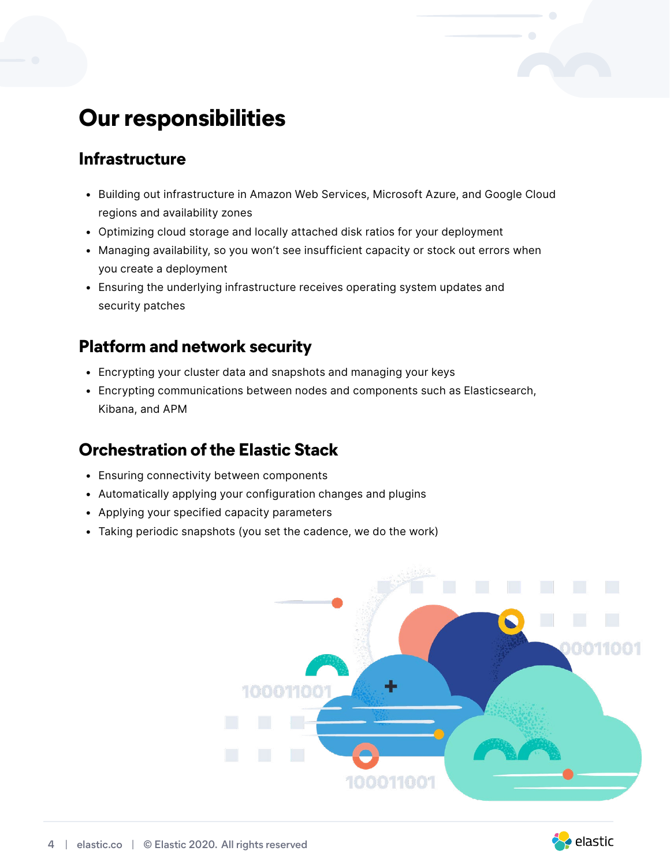## **Our responsibilities**

### **Infrastructure**

- Building out infrastructure in Amazon Web Services, Microsoft Azure, and Google Cloud regions and availability zones
- Optimizing cloud storage and locally attached disk ratios for your deployment
- Managing availability, so you won't see insufficient capacity or stock out errors when you create a deployment
- Ensuring the underlying infrastructure receives operating system updates and security patches

### **Platform and network security**

- Encrypting your cluster data and snapshots and managing your keys
- Encrypting communications between nodes and components such as Elasticsearch, Kibana, and APM

### **Orchestration of the Elastic Stack**

- Ensuring connectivity between components
- Automatically applying your configuration changes and plugins
- Applying your specified capacity parameters
- Taking periodic snapshots (you set the cadence, we do the work)